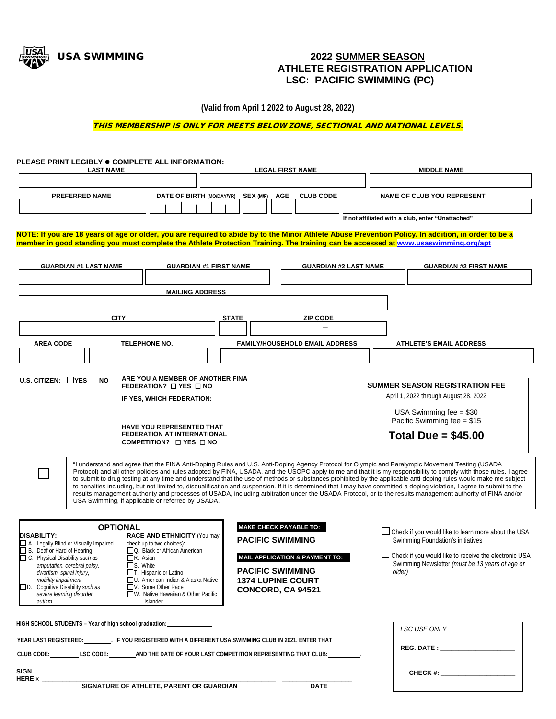

## USA SWIMMING **2022 SUMMER SEASON ATHLETE REGISTRATION APPLICATION LSC: PACIFIC SWIMMING (PC)**

**(Valid from April 1 2022 to August 28, 2022)**

THIS MEMBERSHIP IS ONLY FOR MEETS BELOW ZONE, SECTIONAL AND NATIONAL LEVELS.

| PLEASE PRINT LEGIBLY ● COMPLETE ALL INFORMATION:<br><b>LAST NAME</b>                                                                                                                                                                                                                                                                                                   |                              |                                                                                                                                                                                                                                      | <b>LEGAL FIRST NAME</b>                                                                                                                                                                                               |  | <b>MIDDLE NAME</b>                                                                                                                                                                                                                                                                                                                                                                                                                                                                                                                                                                                                                                                                                                                                                                                                               |  |
|------------------------------------------------------------------------------------------------------------------------------------------------------------------------------------------------------------------------------------------------------------------------------------------------------------------------------------------------------------------------|------------------------------|--------------------------------------------------------------------------------------------------------------------------------------------------------------------------------------------------------------------------------------|-----------------------------------------------------------------------------------------------------------------------------------------------------------------------------------------------------------------------|--|----------------------------------------------------------------------------------------------------------------------------------------------------------------------------------------------------------------------------------------------------------------------------------------------------------------------------------------------------------------------------------------------------------------------------------------------------------------------------------------------------------------------------------------------------------------------------------------------------------------------------------------------------------------------------------------------------------------------------------------------------------------------------------------------------------------------------------|--|
|                                                                                                                                                                                                                                                                                                                                                                        |                              |                                                                                                                                                                                                                                      |                                                                                                                                                                                                                       |  |                                                                                                                                                                                                                                                                                                                                                                                                                                                                                                                                                                                                                                                                                                                                                                                                                                  |  |
| <b>PREFERRED NAME</b>                                                                                                                                                                                                                                                                                                                                                  |                              | <b>DATE OF BIRTH (MO/DAY/YR) SEX (M/F)</b>                                                                                                                                                                                           | <b>AGE</b><br><b>CLUB CODE</b>                                                                                                                                                                                        |  | <b>NAME OF CLUB YOU REPRESENT</b>                                                                                                                                                                                                                                                                                                                                                                                                                                                                                                                                                                                                                                                                                                                                                                                                |  |
|                                                                                                                                                                                                                                                                                                                                                                        |                              |                                                                                                                                                                                                                                      | If not affiliated with a club, enter "Unattached"                                                                                                                                                                     |  |                                                                                                                                                                                                                                                                                                                                                                                                                                                                                                                                                                                                                                                                                                                                                                                                                                  |  |
|                                                                                                                                                                                                                                                                                                                                                                        |                              |                                                                                                                                                                                                                                      | member in good standing you must complete the Athlete Protection Training. The training can be accessed at www.usaswimming.org/apt                                                                                    |  | NOTE: If you are 18 years of age or older, you are required to abide by to the Minor Athlete Abuse Prevention Policy. In addition, in order to be a                                                                                                                                                                                                                                                                                                                                                                                                                                                                                                                                                                                                                                                                              |  |
|                                                                                                                                                                                                                                                                                                                                                                        | <b>GUARDIAN #1 LAST NAME</b> | <b>GUARDIAN #1 FIRST NAME</b>                                                                                                                                                                                                        | <b>GUARDIAN #2 LAST NAME</b>                                                                                                                                                                                          |  | <b>GUARDIAN #2 FIRST NAME</b>                                                                                                                                                                                                                                                                                                                                                                                                                                                                                                                                                                                                                                                                                                                                                                                                    |  |
|                                                                                                                                                                                                                                                                                                                                                                        |                              |                                                                                                                                                                                                                                      |                                                                                                                                                                                                                       |  |                                                                                                                                                                                                                                                                                                                                                                                                                                                                                                                                                                                                                                                                                                                                                                                                                                  |  |
|                                                                                                                                                                                                                                                                                                                                                                        |                              | <b>MAILING ADDRESS</b>                                                                                                                                                                                                               |                                                                                                                                                                                                                       |  |                                                                                                                                                                                                                                                                                                                                                                                                                                                                                                                                                                                                                                                                                                                                                                                                                                  |  |
|                                                                                                                                                                                                                                                                                                                                                                        | <b>CITY</b>                  |                                                                                                                                                                                                                                      | <b>STATE</b><br><b>ZIP CODE</b>                                                                                                                                                                                       |  |                                                                                                                                                                                                                                                                                                                                                                                                                                                                                                                                                                                                                                                                                                                                                                                                                                  |  |
|                                                                                                                                                                                                                                                                                                                                                                        |                              |                                                                                                                                                                                                                                      |                                                                                                                                                                                                                       |  |                                                                                                                                                                                                                                                                                                                                                                                                                                                                                                                                                                                                                                                                                                                                                                                                                                  |  |
| <b>AREA CODE</b>                                                                                                                                                                                                                                                                                                                                                       |                              | <b>TELEPHONE NO.</b>                                                                                                                                                                                                                 | <b>FAMILY/HOUSEHOLD EMAIL ADDRESS</b>                                                                                                                                                                                 |  | <b>ATHLETE'S EMAIL ADDRESS</b>                                                                                                                                                                                                                                                                                                                                                                                                                                                                                                                                                                                                                                                                                                                                                                                                   |  |
|                                                                                                                                                                                                                                                                                                                                                                        |                              |                                                                                                                                                                                                                                      |                                                                                                                                                                                                                       |  |                                                                                                                                                                                                                                                                                                                                                                                                                                                                                                                                                                                                                                                                                                                                                                                                                                  |  |
|                                                                                                                                                                                                                                                                                                                                                                        |                              |                                                                                                                                                                                                                                      |                                                                                                                                                                                                                       |  |                                                                                                                                                                                                                                                                                                                                                                                                                                                                                                                                                                                                                                                                                                                                                                                                                                  |  |
| ARE YOU A MEMBER OF ANOTHER FINA<br>U.S. CITIZEN: $\Box$ YES $\Box$ NO<br>FEDERATION? $\Box$ YES $\Box$ NO<br>IF YES, WHICH FEDERATION:<br>HAVE YOU REPRESENTED THAT<br><b>FEDERATION AT INTERNATIONAL</b><br>COMPETITION? $\Box$ YES $\Box$ NO                                                                                                                        |                              |                                                                                                                                                                                                                                      |                                                                                                                                                                                                                       |  | <b>SUMMER SEASON REGISTRATION FEE</b><br>April 1, 2022 through August 28, 2022<br>USA Swimming fee $= $30$                                                                                                                                                                                                                                                                                                                                                                                                                                                                                                                                                                                                                                                                                                                       |  |
|                                                                                                                                                                                                                                                                                                                                                                        |                              |                                                                                                                                                                                                                                      |                                                                                                                                                                                                                       |  | Pacific Swimming fee = \$15<br>Total Due = $$45.00$                                                                                                                                                                                                                                                                                                                                                                                                                                                                                                                                                                                                                                                                                                                                                                              |  |
|                                                                                                                                                                                                                                                                                                                                                                        |                              | USA Swimming, if applicable or referred by USADA."                                                                                                                                                                                   |                                                                                                                                                                                                                       |  | "I understand and agree that the FINA Anti-Doping Rules and U.S. Anti-Doping Agency Protocol for Olympic and Paralympic Movement Testing (USADA<br>Protocol) and all other policies and rules adopted by FINA, USADA, and the USOPC apply to me and that it is my responsibility to comply with those rules. I agree<br>to submit to drug testing at any time and understand that the use of methods or substances prohibited by the applicable anti-doping rules would make me subject<br>to penalties including, but not limited to, disqualification and suspension. If it is determined that I may have committed a doping violation, I agree to submit to the<br>results management authority and processes of USADA, including arbitration under the USADA Protocol, or to the results management authority of FINA and/or |  |
|                                                                                                                                                                                                                                                                                                                                                                        |                              |                                                                                                                                                                                                                                      |                                                                                                                                                                                                                       |  |                                                                                                                                                                                                                                                                                                                                                                                                                                                                                                                                                                                                                                                                                                                                                                                                                                  |  |
| <b>OPTIONAL</b><br><b>DISABILITY:</b><br>A. Legally Blind or Visually Impaired<br>B. Deaf or Hard of Hearing<br>C. Physical Disability such as<br>$\Box$ R. Asian<br>amputation, cerebral palsy,<br>$\square$ S. White<br>dwarfism, spinal injury,<br>mobility impairment<br>$\Box$ D. Cognitive Disability such as<br>severe learning disorder,<br>Islander<br>autism |                              | <b>RACE AND ETHNICITY</b> (You may<br>check up to two choices):<br>□ Q. Black or African American<br>$\Box$ T. Hispanic or Latino<br>U. American Indian & Alaska Native<br>V. Some Other Race<br>□W. Native Hawaiian & Other Pacific | <b>MAKE CHECK PAYABLE TO:</b><br><b>PACIFIC SWIMMING</b><br>Swimming Foundation's initiatives<br>MAIL APPLICATION & PAYMENT TO:<br><b>PACIFIC SWIMMING</b><br>older)<br><b>1374 LUPINE COURT</b><br>CONCORD, CA 94521 |  | $\Box$ Check if you would like to learn more about the USA<br>$\Box$ Check if you would like to receive the electronic USA<br>Swimming Newsletter (must be 13 years of age or                                                                                                                                                                                                                                                                                                                                                                                                                                                                                                                                                                                                                                                    |  |
|                                                                                                                                                                                                                                                                                                                                                                        |                              |                                                                                                                                                                                                                                      |                                                                                                                                                                                                                       |  |                                                                                                                                                                                                                                                                                                                                                                                                                                                                                                                                                                                                                                                                                                                                                                                                                                  |  |
| HIGH SCHOOL STUDENTS - Year of high school graduation:                                                                                                                                                                                                                                                                                                                 |                              |                                                                                                                                                                                                                                      |                                                                                                                                                                                                                       |  | <b>LSC USE ONLY</b>                                                                                                                                                                                                                                                                                                                                                                                                                                                                                                                                                                                                                                                                                                                                                                                                              |  |
| YEAR LAST REGISTERED: THE YOU REGISTERED WITH A DIFFERENT USA SWIMMING CLUB IN 2021, ENTER THAT<br>CLUB CODE: LSC CODE: AND THE DATE OF YOUR LAST COMPETITION REPRESENTING THAT CLUB:                                                                                                                                                                                  |                              |                                                                                                                                                                                                                                      |                                                                                                                                                                                                                       |  |                                                                                                                                                                                                                                                                                                                                                                                                                                                                                                                                                                                                                                                                                                                                                                                                                                  |  |
|                                                                                                                                                                                                                                                                                                                                                                        |                              |                                                                                                                                                                                                                                      |                                                                                                                                                                                                                       |  |                                                                                                                                                                                                                                                                                                                                                                                                                                                                                                                                                                                                                                                                                                                                                                                                                                  |  |
| <b>SIGN</b><br>HERE $x$ $\_\_$                                                                                                                                                                                                                                                                                                                                         |                              |                                                                                                                                                                                                                                      |                                                                                                                                                                                                                       |  |                                                                                                                                                                                                                                                                                                                                                                                                                                                                                                                                                                                                                                                                                                                                                                                                                                  |  |
|                                                                                                                                                                                                                                                                                                                                                                        |                              | SIGNATURE OF ATHLETE, PARENT OR GUARDIAN                                                                                                                                                                                             | <b>DATE</b>                                                                                                                                                                                                           |  |                                                                                                                                                                                                                                                                                                                                                                                                                                                                                                                                                                                                                                                                                                                                                                                                                                  |  |